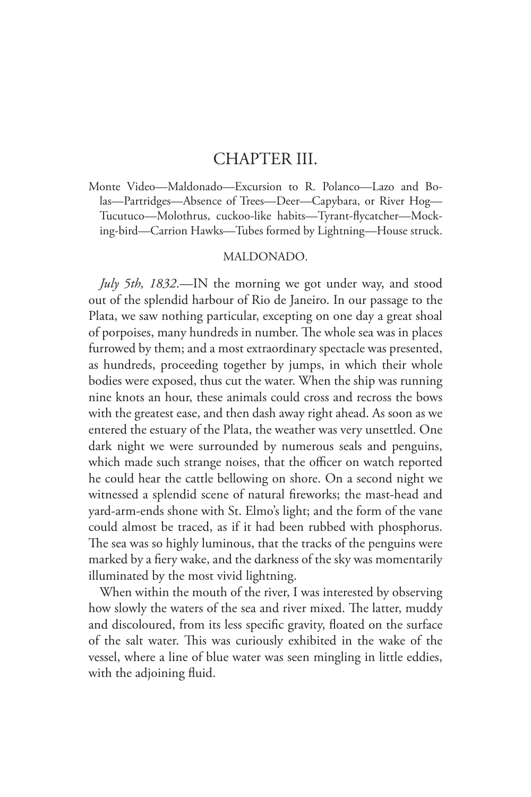## CHAPTER III.

Monte Video—Maldonado—Excursion to R. Polanco—Lazo and Bolas—Partridges—Absence of Trees—Deer—Capybara, or River Hog— Tucutuco—Molothrus, cuckoo-like habits—Tyrant-flycatcher—Mocking-bird—Carrion Hawks—Tubes formed by Lightning—House struck.

## MALDONADO.

*July 5th, 1832*.—IN the morning we got under way, and stood out of the splendid harbour of Rio de Janeiro. In our passage to the Plata, we saw nothing particular, excepting on one day a great shoal of porpoises, many hundreds in number. The whole sea was in places furrowed by them; and a most extraordinary spectacle was presented, as hundreds, proceeding together by jumps, in which their whole bodies were exposed, thus cut the water. When the ship was running nine knots an hour, these animals could cross and recross the bows with the greatest ease, and then dash away right ahead. As soon as we entered the estuary of the Plata, the weather was very unsettled. One dark night we were surrounded by numerous seals and penguins, which made such strange noises, that the officer on watch reported he could hear the cattle bellowing on shore. On a second night we witnessed a splendid scene of natural fireworks; the mast-head and yard-arm-ends shone with St. Elmo's light; and the form of the vane could almost be traced, as if it had been rubbed with phosphorus. The sea was so highly luminous, that the tracks of the penguins were marked by a fiery wake, and the darkness of the sky was momentarily illuminated by the most vivid lightning.

When within the mouth of the river, I was interested by observing how slowly the waters of the sea and river mixed. The latter, muddy and discoloured, from its less specific gravity, floated on the surface of the salt water. This was curiously exhibited in the wake of the vessel, where a line of blue water was seen mingling in little eddies, with the adjoining fluid.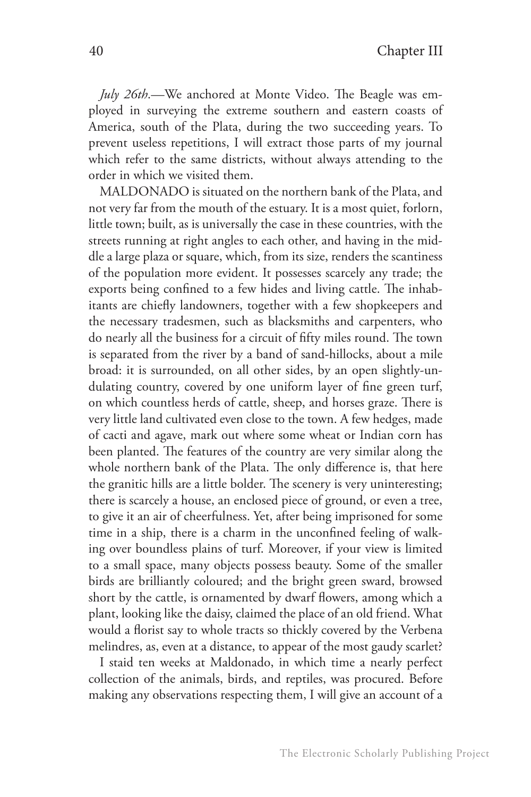*July 26th*.—We anchored at Monte Video. The Beagle was employed in surveying the extreme southern and eastern coasts of America, south of the Plata, during the two succeeding years. To prevent useless repetitions, I will extract those parts of my journal which refer to the same districts, without always attending to the order in which we visited them.

MALDONADO is situated on the northern bank of the Plata, and not very far from the mouth of the estuary. It is a most quiet, forlorn, little town; built, as is universally the case in these countries, with the streets running at right angles to each other, and having in the middle a large plaza or square, which, from its size, renders the scantiness of the population more evident. It possesses scarcely any trade; the exports being confined to a few hides and living cattle. The inhabitants are chiefly landowners, together with a few shopkeepers and the necessary tradesmen, such as blacksmiths and carpenters, who do nearly all the business for a circuit of fifty miles round. The town is separated from the river by a band of sand-hillocks, about a mile broad: it is surrounded, on all other sides, by an open slightly-undulating country, covered by one uniform layer of fine green turf, on which countless herds of cattle, sheep, and horses graze. There is very little land cultivated even close to the town. A few hedges, made of cacti and agave, mark out where some wheat or Indian corn has been planted. The features of the country are very similar along the whole northern bank of the Plata. The only difference is, that here the granitic hills are a little bolder. The scenery is very uninteresting; there is scarcely a house, an enclosed piece of ground, or even a tree, to give it an air of cheerfulness. Yet, after being imprisoned for some time in a ship, there is a charm in the unconfined feeling of walking over boundless plains of turf. Moreover, if your view is limited to a small space, many objects possess beauty. Some of the smaller birds are brilliantly coloured; and the bright green sward, browsed short by the cattle, is ornamented by dwarf flowers, among which a plant, looking like the daisy, claimed the place of an old friend. What would a florist say to whole tracts so thickly covered by the Verbena melindres, as, even at a distance, to appear of the most gaudy scarlet?

I staid ten weeks at Maldonado, in which time a nearly perfect collection of the animals, birds, and reptiles, was procured. Before making any observations respecting them, I will give an account of a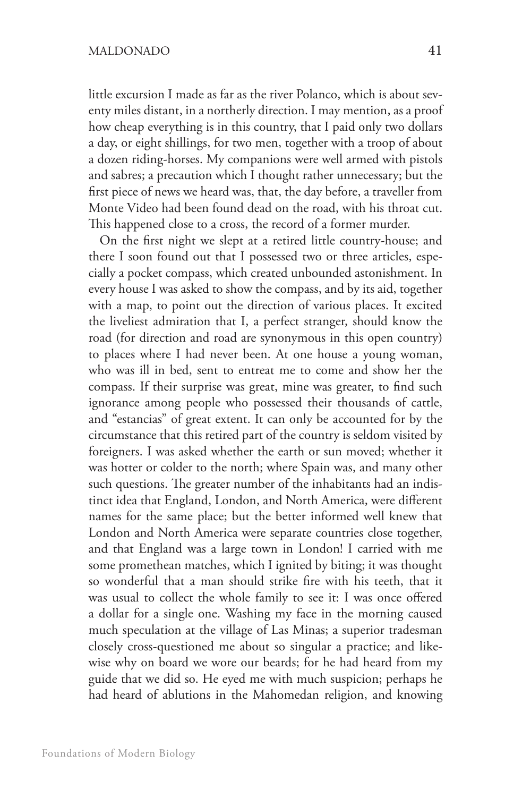little excursion I made as far as the river Polanco, which is about seventy miles distant, in a northerly direction. I may mention, as a proof how cheap everything is in this country, that I paid only two dollars a day, or eight shillings, for two men, together with a troop of about a dozen riding-horses. My companions were well armed with pistols and sabres; a precaution which I thought rather unnecessary; but the first piece of news we heard was, that, the day before, a traveller from Monte Video had been found dead on the road, with his throat cut. This happened close to a cross, the record of a former murder.

On the first night we slept at a retired little country-house; and there I soon found out that I possessed two or three articles, especially a pocket compass, which created unbounded astonishment. In every house I was asked to show the compass, and by its aid, together with a map, to point out the direction of various places. It excited the liveliest admiration that I, a perfect stranger, should know the road (for direction and road are synonymous in this open country) to places where I had never been. At one house a young woman, who was ill in bed, sent to entreat me to come and show her the compass. If their surprise was great, mine was greater, to find such ignorance among people who possessed their thousands of cattle, and "estancias" of great extent. It can only be accounted for by the circumstance that this retired part of the country is seldom visited by foreigners. I was asked whether the earth or sun moved; whether it was hotter or colder to the north; where Spain was, and many other such questions. The greater number of the inhabitants had an indistinct idea that England, London, and North America, were different names for the same place; but the better informed well knew that London and North America were separate countries close together, and that England was a large town in London! I carried with me some promethean matches, which I ignited by biting; it was thought so wonderful that a man should strike fire with his teeth, that it was usual to collect the whole family to see it: I was once offered a dollar for a single one. Washing my face in the morning caused much speculation at the village of Las Minas; a superior tradesman closely cross-questioned me about so singular a practice; and likewise why on board we wore our beards; for he had heard from my guide that we did so. He eyed me with much suspicion; perhaps he had heard of ablutions in the Mahomedan religion, and knowing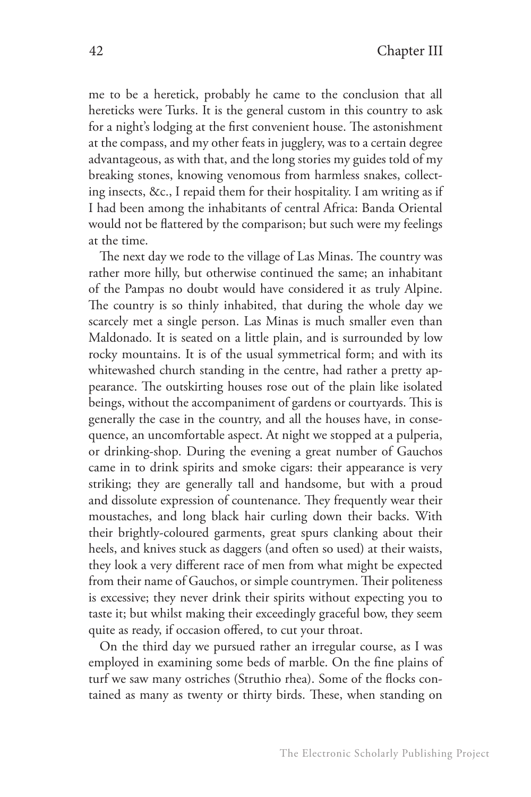me to be a heretick, probably he came to the conclusion that all hereticks were Turks. It is the general custom in this country to ask for a night's lodging at the first convenient house. The astonishment at the compass, and my other feats in jugglery, was to a certain degree advantageous, as with that, and the long stories my guides told of my breaking stones, knowing venomous from harmless snakes, collecting insects, &c., I repaid them for their hospitality. I am writing as if I had been among the inhabitants of central Africa: Banda Oriental would not be flattered by the comparison; but such were my feelings at the time.

The next day we rode to the village of Las Minas. The country was rather more hilly, but otherwise continued the same; an inhabitant of the Pampas no doubt would have considered it as truly Alpine. The country is so thinly inhabited, that during the whole day we scarcely met a single person. Las Minas is much smaller even than Maldonado. It is seated on a little plain, and is surrounded by low rocky mountains. It is of the usual symmetrical form; and with its whitewashed church standing in the centre, had rather a pretty appearance. The outskirting houses rose out of the plain like isolated beings, without the accompaniment of gardens or courtyards. This is generally the case in the country, and all the houses have, in consequence, an uncomfortable aspect. At night we stopped at a pulperia, or drinking-shop. During the evening a great number of Gauchos came in to drink spirits and smoke cigars: their appearance is very striking; they are generally tall and handsome, but with a proud and dissolute expression of countenance. They frequently wear their moustaches, and long black hair curling down their backs. With their brightly-coloured garments, great spurs clanking about their heels, and knives stuck as daggers (and often so used) at their waists, they look a very different race of men from what might be expected from their name of Gauchos, or simple countrymen. Their politeness is excessive; they never drink their spirits without expecting you to taste it; but whilst making their exceedingly graceful bow, they seem quite as ready, if occasion offered, to cut your throat.

On the third day we pursued rather an irregular course, as I was employed in examining some beds of marble. On the fine plains of turf we saw many ostriches (Struthio rhea). Some of the flocks contained as many as twenty or thirty birds. These, when standing on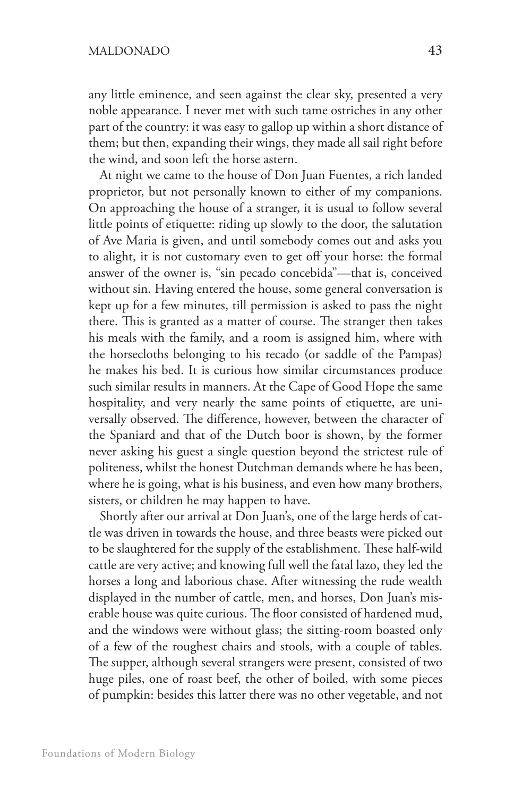any little eminence, and seen against the clear sky, presented a very noble appearance. I never met with such tame ostriches in any other part of the country: it was easy to gallop up within a short distance of them; but then, expanding their wings, they made all sail right before the wind, and soon left the horse astern.

At night we came to the house of Don Juan Fuentes, a rich landed proprietor, but not personally known to either of my companions. On approaching the house of a stranger, it is usual to follow several little points of etiquette: riding up slowly to the door, the salutation of Ave Maria is given, and until somebody comes out and asks you to alight, it is not customary even to get off your horse: the formal answer of the owner is, "sin pecado concebida"—that is, conceived without sin. Having entered the house, some general conversation is kept up for a few minutes, till permission is asked to pass the night there. This is granted as a matter of course. The stranger then takes his meals with the family, and a room is assigned him, where with the horsecloths belonging to his recado (or saddle of the Pampas) he makes his bed. It is curious how similar circumstances produce such similar results in manners. At the Cape of Good Hope the same hospitality, and very nearly the same points of etiquette, are universally observed. The difference, however, between the character of the Spaniard and that of the Dutch boor is shown, by the former never asking his guest a single question beyond the strictest rule of politeness, whilst the honest Dutchman demands where he has been, where he is going, what is his business, and even how many brothers, sisters, or children he may happen to have.

Shortly after our arrival at Don Juan's, one of the large herds of cattle was driven in towards the house, and three beasts were picked out to be slaughtered for the supply of the establishment. These half-wild cattle are very active; and knowing full well the fatal lazo, they led the horses a long and laborious chase. After witnessing the rude wealth displayed in the number of cattle, men, and horses, Don Juan's miserable house was quite curious. The floor consisted of hardened mud, and the windows were without glass; the sitting-room boasted only of a few of the roughest chairs and stools, with a couple of tables. The supper, although several strangers were present, consisted of two huge piles, one of roast beef, the other of boiled, with some pieces of pumpkin: besides this latter there was no other vegetable, and not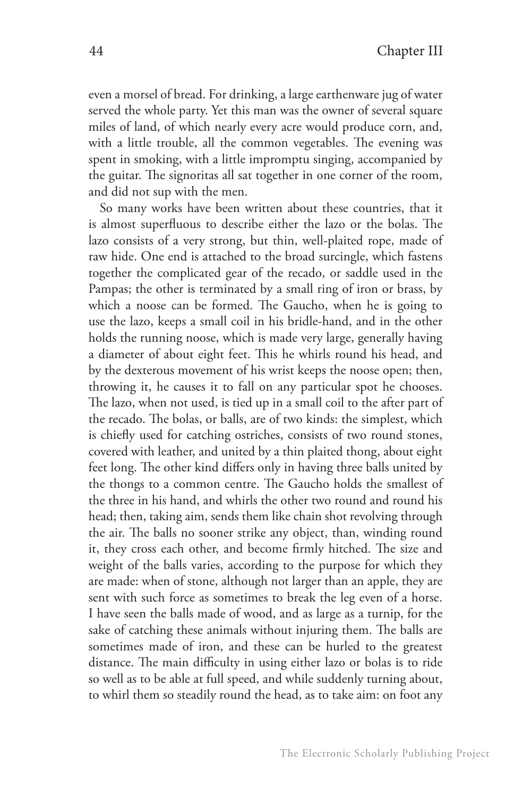even a morsel of bread. For drinking, a large earthenware jug of water served the whole party. Yet this man was the owner of several square miles of land, of which nearly every acre would produce corn, and, with a little trouble, all the common vegetables. The evening was spent in smoking, with a little impromptu singing, accompanied by the guitar. The signoritas all sat together in one corner of the room, and did not sup with the men.

So many works have been written about these countries, that it is almost superfluous to describe either the lazo or the bolas. The lazo consists of a very strong, but thin, well-plaited rope, made of raw hide. One end is attached to the broad surcingle, which fastens together the complicated gear of the recado, or saddle used in the Pampas; the other is terminated by a small ring of iron or brass, by which a noose can be formed. The Gaucho, when he is going to use the lazo, keeps a small coil in his bridle-hand, and in the other holds the running noose, which is made very large, generally having a diameter of about eight feet. This he whirls round his head, and by the dexterous movement of his wrist keeps the noose open; then, throwing it, he causes it to fall on any particular spot he chooses. The lazo, when not used, is tied up in a small coil to the after part of the recado. The bolas, or balls, are of two kinds: the simplest, which is chiefly used for catching ostriches, consists of two round stones, covered with leather, and united by a thin plaited thong, about eight feet long. The other kind differs only in having three balls united by the thongs to a common centre. The Gaucho holds the smallest of the three in his hand, and whirls the other two round and round his head; then, taking aim, sends them like chain shot revolving through the air. The balls no sooner strike any object, than, winding round it, they cross each other, and become firmly hitched. The size and weight of the balls varies, according to the purpose for which they are made: when of stone, although not larger than an apple, they are sent with such force as sometimes to break the leg even of a horse. I have seen the balls made of wood, and as large as a turnip, for the sake of catching these animals without injuring them. The balls are sometimes made of iron, and these can be hurled to the greatest distance. The main difficulty in using either lazo or bolas is to ride so well as to be able at full speed, and while suddenly turning about, to whirl them so steadily round the head, as to take aim: on foot any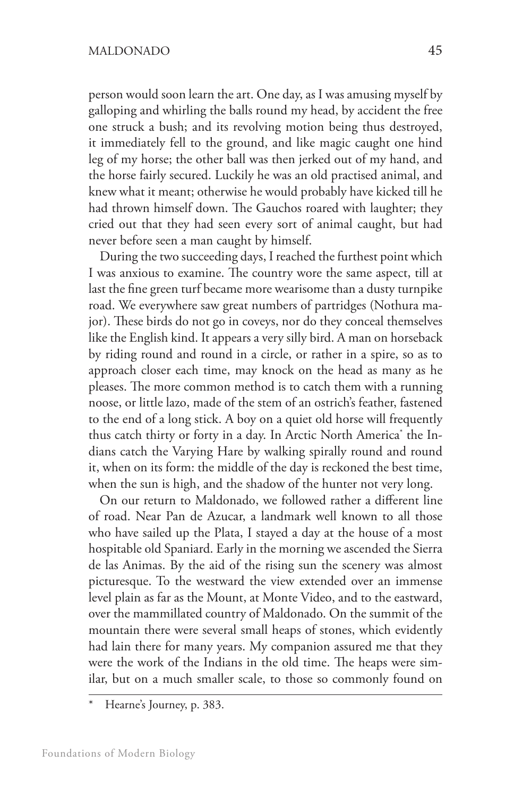person would soon learn the art. One day, as I was amusing myself by galloping and whirling the balls round my head, by accident the free one struck a bush; and its revolving motion being thus destroyed, it immediately fell to the ground, and like magic caught one hind leg of my horse; the other ball was then jerked out of my hand, and the horse fairly secured. Luckily he was an old practised animal, and knew what it meant; otherwise he would probably have kicked till he had thrown himself down. The Gauchos roared with laughter; they cried out that they had seen every sort of animal caught, but had never before seen a man caught by himself.

During the two succeeding days, I reached the furthest point which I was anxious to examine. The country wore the same aspect, till at last the fine green turf became more wearisome than a dusty turnpike road. We everywhere saw great numbers of partridges (Nothura major). These birds do not go in coveys, nor do they conceal themselves like the English kind. It appears a very silly bird. A man on horseback by riding round and round in a circle, or rather in a spire, so as to approach closer each time, may knock on the head as many as he pleases. The more common method is to catch them with a running noose, or little lazo, made of the stem of an ostrich's feather, fastened to the end of a long stick. A boy on a quiet old horse will frequently thus catch thirty or forty in a day. In Arctic North America\* the Indians catch the Varying Hare by walking spirally round and round it, when on its form: the middle of the day is reckoned the best time, when the sun is high, and the shadow of the hunter not very long.

On our return to Maldonado, we followed rather a different line of road. Near Pan de Azucar, a landmark well known to all those who have sailed up the Plata, I stayed a day at the house of a most hospitable old Spaniard. Early in the morning we ascended the Sierra de las Animas. By the aid of the rising sun the scenery was almost picturesque. To the westward the view extended over an immense level plain as far as the Mount, at Monte Video, and to the eastward, over the mammillated country of Maldonado. On the summit of the mountain there were several small heaps of stones, which evidently had lain there for many years. My companion assured me that they were the work of the Indians in the old time. The heaps were similar, but on a much smaller scale, to those so commonly found on

Hearne's Journey, p. 383.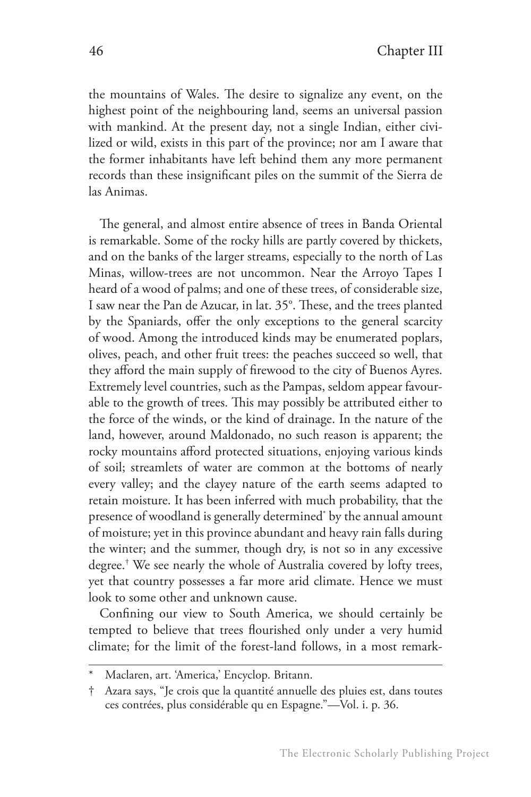the mountains of Wales. The desire to signalize any event, on the highest point of the neighbouring land, seems an universal passion with mankind. At the present day, not a single Indian, either civilized or wild, exists in this part of the province; nor am I aware that the former inhabitants have left behind them any more permanent records than these insignificant piles on the summit of the Sierra de las Animas.

The general, and almost entire absence of trees in Banda Oriental is remarkable. Some of the rocky hills are partly covered by thickets, and on the banks of the larger streams, especially to the north of Las Minas, willow-trees are not uncommon. Near the Arroyo Tapes I heard of a wood of palms; and one of these trees, of considerable size, I saw near the Pan de Azucar, in lat. 35°. These, and the trees planted by the Spaniards, offer the only exceptions to the general scarcity of wood. Among the introduced kinds may be enumerated poplars, olives, peach, and other fruit trees: the peaches succeed so well, that they afford the main supply of firewood to the city of Buenos Ayres. Extremely level countries, such as the Pampas, seldom appear favourable to the growth of trees. This may possibly be attributed either to the force of the winds, or the kind of drainage. In the nature of the land, however, around Maldonado, no such reason is apparent; the rocky mountains afford protected situations, enjoying various kinds of soil; streamlets of water are common at the bottoms of nearly every valley; and the clayey nature of the earth seems adapted to retain moisture. It has been inferred with much probability, that the presence of woodland is generally determined\* by the annual amount of moisture; yet in this province abundant and heavy rain falls during the winter; and the summer, though dry, is not so in any excessive degree.† We see nearly the whole of Australia covered by lofty trees, yet that country possesses a far more arid climate. Hence we must look to some other and unknown cause.

Confining our view to South America, we should certainly be tempted to believe that trees flourished only under a very humid climate; for the limit of the forest-land follows, in a most remark-

Maclaren, art. 'America,' Encyclop. Britann.

<sup>†</sup> Azara says, "Je crois que la quantité annuelle des pluies est, dans toutes ces contrées, plus considérable qu en Espagne."—Vol. i. p. 36.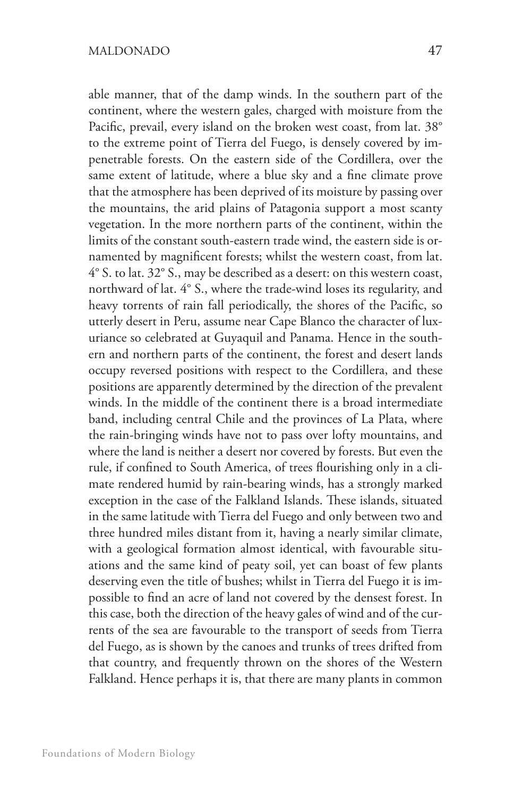able manner, that of the damp winds. In the southern part of the continent, where the western gales, charged with moisture from the Pacific, prevail, every island on the broken west coast, from lat. 38° to the extreme point of Tierra del Fuego, is densely covered by impenetrable forests. On the eastern side of the Cordillera, over the same extent of latitude, where a blue sky and a fine climate prove that the atmosphere has been deprived of its moisture by passing over the mountains, the arid plains of Patagonia support a most scanty vegetation. In the more northern parts of the continent, within the limits of the constant south-eastern trade wind, the eastern side is ornamented by magnificent forests; whilst the western coast, from lat. 4° S. to lat. 32° S., may be described as a desert: on this western coast, northward of lat. 4° S., where the trade-wind loses its regularity, and heavy torrents of rain fall periodically, the shores of the Pacific, so utterly desert in Peru, assume near Cape Blanco the character of luxuriance so celebrated at Guyaquil and Panama. Hence in the southern and northern parts of the continent, the forest and desert lands occupy reversed positions with respect to the Cordillera, and these positions are apparently determined by the direction of the prevalent winds. In the middle of the continent there is a broad intermediate band, including central Chile and the provinces of La Plata, where the rain-bringing winds have not to pass over lofty mountains, and where the land is neither a desert nor covered by forests. But even the rule, if confined to South America, of trees flourishing only in a climate rendered humid by rain-bearing winds, has a strongly marked exception in the case of the Falkland Islands. These islands, situated in the same latitude with Tierra del Fuego and only between two and three hundred miles distant from it, having a nearly similar climate, with a geological formation almost identical, with favourable situations and the same kind of peaty soil, yet can boast of few plants deserving even the title of bushes; whilst in Tierra del Fuego it is impossible to find an acre of land not covered by the densest forest. In this case, both the direction of the heavy gales of wind and of the currents of the sea are favourable to the transport of seeds from Tierra del Fuego, as is shown by the canoes and trunks of trees drifted from that country, and frequently thrown on the shores of the Western Falkland. Hence perhaps it is, that there are many plants in common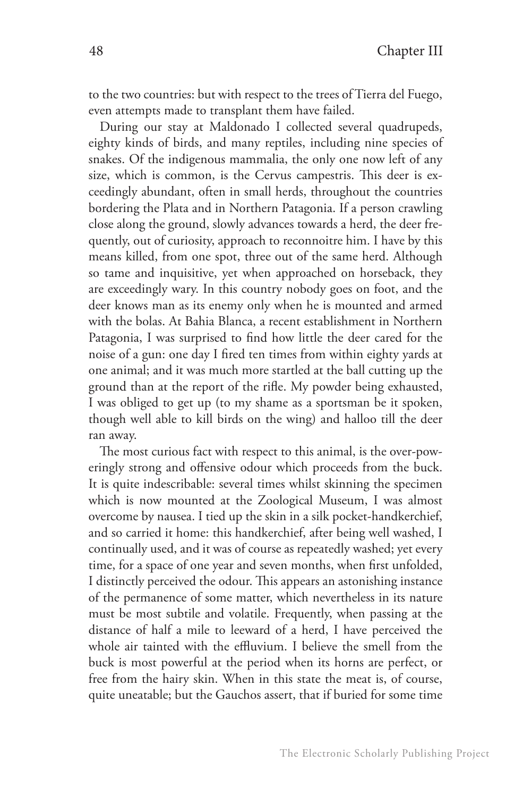to the two countries: but with respect to the trees of Tierra del Fuego, even attempts made to transplant them have failed.

During our stay at Maldonado I collected several quadrupeds, eighty kinds of birds, and many reptiles, including nine species of snakes. Of the indigenous mammalia, the only one now left of any size, which is common, is the Cervus campestris. This deer is exceedingly abundant, often in small herds, throughout the countries bordering the Plata and in Northern Patagonia. If a person crawling close along the ground, slowly advances towards a herd, the deer frequently, out of curiosity, approach to reconnoitre him. I have by this means killed, from one spot, three out of the same herd. Although so tame and inquisitive, yet when approached on horseback, they are exceedingly wary. In this country nobody goes on foot, and the deer knows man as its enemy only when he is mounted and armed with the bolas. At Bahia Blanca, a recent establishment in Northern Patagonia, I was surprised to find how little the deer cared for the noise of a gun: one day I fired ten times from within eighty yards at one animal; and it was much more startled at the ball cutting up the ground than at the report of the rifle. My powder being exhausted, I was obliged to get up (to my shame as a sportsman be it spoken, though well able to kill birds on the wing) and halloo till the deer ran away.

The most curious fact with respect to this animal, is the over-poweringly strong and offensive odour which proceeds from the buck. It is quite indescribable: several times whilst skinning the specimen which is now mounted at the Zoological Museum, I was almost overcome by nausea. I tied up the skin in a silk pocket-handkerchief, and so carried it home: this handkerchief, after being well washed, I continually used, and it was of course as repeatedly washed; yet every time, for a space of one year and seven months, when first unfolded, I distinctly perceived the odour. This appears an astonishing instance of the permanence of some matter, which nevertheless in its nature must be most subtile and volatile. Frequently, when passing at the distance of half a mile to leeward of a herd, I have perceived the whole air tainted with the effluvium. I believe the smell from the buck is most powerful at the period when its horns are perfect, or free from the hairy skin. When in this state the meat is, of course, quite uneatable; but the Gauchos assert, that if buried for some time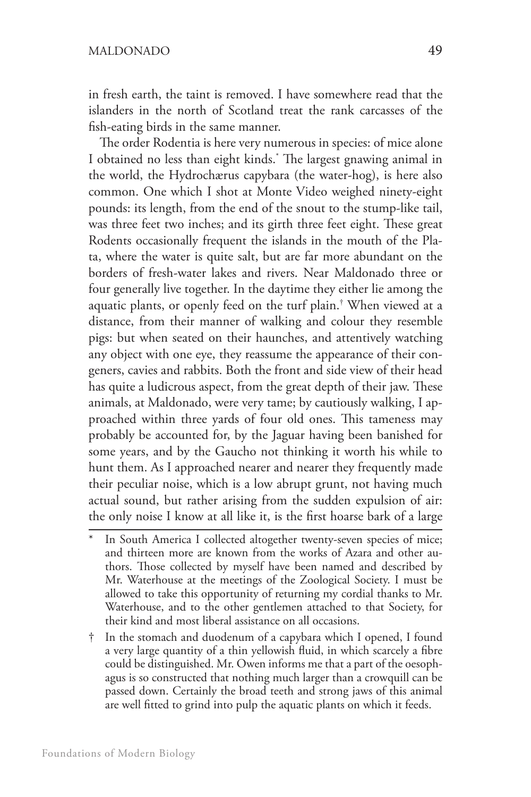in fresh earth, the taint is removed. I have somewhere read that the islanders in the north of Scotland treat the rank carcasses of the fish-eating birds in the same manner.

The order Rodentia is here very numerous in species: of mice alone I obtained no less than eight kinds.\* The largest gnawing animal in the world, the Hydrochærus capybara (the water-hog), is here also common. One which I shot at Monte Video weighed ninety-eight pounds: its length, from the end of the snout to the stump-like tail, was three feet two inches; and its girth three feet eight. These great Rodents occasionally frequent the islands in the mouth of the Plata, where the water is quite salt, but are far more abundant on the borders of fresh-water lakes and rivers. Near Maldonado three or four generally live together. In the daytime they either lie among the aquatic plants, or openly feed on the turf plain.† When viewed at a distance, from their manner of walking and colour they resemble pigs: but when seated on their haunches, and attentively watching any object with one eye, they reassume the appearance of their congeners, cavies and rabbits. Both the front and side view of their head has quite a ludicrous aspect, from the great depth of their jaw. These animals, at Maldonado, were very tame; by cautiously walking, I approached within three yards of four old ones. This tameness may probably be accounted for, by the Jaguar having been banished for some years, and by the Gaucho not thinking it worth his while to hunt them. As I approached nearer and nearer they frequently made their peculiar noise, which is a low abrupt grunt, not having much actual sound, but rather arising from the sudden expulsion of air: the only noise I know at all like it, is the first hoarse bark of a large

- In South America I collected altogether twenty-seven species of mice; and thirteen more are known from the works of Azara and other authors. Those collected by myself have been named and described by Mr. Waterhouse at the meetings of the Zoological Society. I must be allowed to take this opportunity of returning my cordial thanks to Mr. Waterhouse, and to the other gentlemen attached to that Society, for their kind and most liberal assistance on all occasions.
- † In the stomach and duodenum of a capybara which I opened, I found a very large quantity of a thin yellowish fluid, in which scarcely a fibre could be distinguished. Mr. Owen informs me that a part of the oesophagus is so constructed that nothing much larger than a crowquill can be passed down. Certainly the broad teeth and strong jaws of this animal are well fitted to grind into pulp the aquatic plants on which it feeds.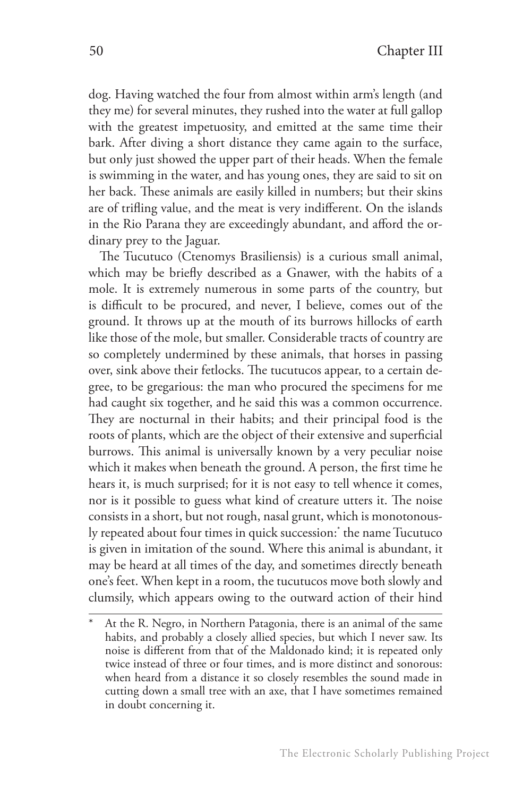dog. Having watched the four from almost within arm's length (and they me) for several minutes, they rushed into the water at full gallop with the greatest impetuosity, and emitted at the same time their bark. After diving a short distance they came again to the surface, but only just showed the upper part of their heads. When the female is swimming in the water, and has young ones, they are said to sit on her back. These animals are easily killed in numbers; but their skins are of trifling value, and the meat is very indifferent. On the islands in the Rio Parana they are exceedingly abundant, and afford the ordinary prey to the Jaguar.

The Tucutuco (Ctenomys Brasiliensis) is a curious small animal, which may be briefly described as a Gnawer, with the habits of a mole. It is extremely numerous in some parts of the country, but is difficult to be procured, and never, I believe, comes out of the ground. It throws up at the mouth of its burrows hillocks of earth like those of the mole, but smaller. Considerable tracts of country are so completely undermined by these animals, that horses in passing over, sink above their fetlocks. The tucutucos appear, to a certain degree, to be gregarious: the man who procured the specimens for me had caught six together, and he said this was a common occurrence. They are nocturnal in their habits; and their principal food is the roots of plants, which are the object of their extensive and superficial burrows. This animal is universally known by a very peculiar noise which it makes when beneath the ground. A person, the first time he hears it, is much surprised; for it is not easy to tell whence it comes, nor is it possible to guess what kind of creature utters it. The noise consists in a short, but not rough, nasal grunt, which is monotonously repeated about four times in quick succession:\* the name Tucutuco is given in imitation of the sound. Where this animal is abundant, it may be heard at all times of the day, and sometimes directly beneath one's feet. When kept in a room, the tucutucos move both slowly and clumsily, which appears owing to the outward action of their hind

At the R. Negro, in Northern Patagonia, there is an animal of the same habits, and probably a closely allied species, but which I never saw. Its noise is different from that of the Maldonado kind; it is repeated only twice instead of three or four times, and is more distinct and sonorous: when heard from a distance it so closely resembles the sound made in cutting down a small tree with an axe, that I have sometimes remained in doubt concerning it.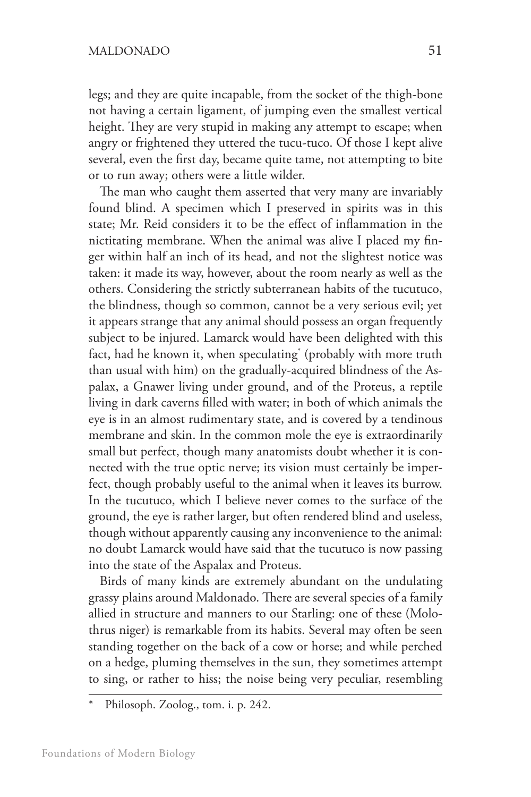legs; and they are quite incapable, from the socket of the thigh-bone not having a certain ligament, of jumping even the smallest vertical height. They are very stupid in making any attempt to escape; when angry or frightened they uttered the tucu-tuco. Of those I kept alive several, even the first day, became quite tame, not attempting to bite or to run away; others were a little wilder.

The man who caught them asserted that very many are invariably found blind. A specimen which I preserved in spirits was in this state; Mr. Reid considers it to be the effect of inflammation in the nictitating membrane. When the animal was alive I placed my finger within half an inch of its head, and not the slightest notice was taken: it made its way, however, about the room nearly as well as the others. Considering the strictly subterranean habits of the tucutuco, the blindness, though so common, cannot be a very serious evil; yet it appears strange that any animal should possess an organ frequently subject to be injured. Lamarck would have been delighted with this fact, had he known it, when speculating\* (probably with more truth than usual with him) on the gradually-acquired blindness of the Aspalax, a Gnawer living under ground, and of the Proteus, a reptile living in dark caverns filled with water; in both of which animals the eye is in an almost rudimentary state, and is covered by a tendinous membrane and skin. In the common mole the eye is extraordinarily small but perfect, though many anatomists doubt whether it is connected with the true optic nerve; its vision must certainly be imperfect, though probably useful to the animal when it leaves its burrow. In the tucutuco, which I believe never comes to the surface of the ground, the eye is rather larger, but often rendered blind and useless, though without apparently causing any inconvenience to the animal: no doubt Lamarck would have said that the tucutuco is now passing into the state of the Aspalax and Proteus.

Birds of many kinds are extremely abundant on the undulating grassy plains around Maldonado. There are several species of a family allied in structure and manners to our Starling: one of these (Molothrus niger) is remarkable from its habits. Several may often be seen standing together on the back of a cow or horse; and while perched on a hedge, pluming themselves in the sun, they sometimes attempt to sing, or rather to hiss; the noise being very peculiar, resembling

Philosoph. Zoolog., tom. i. p. 242.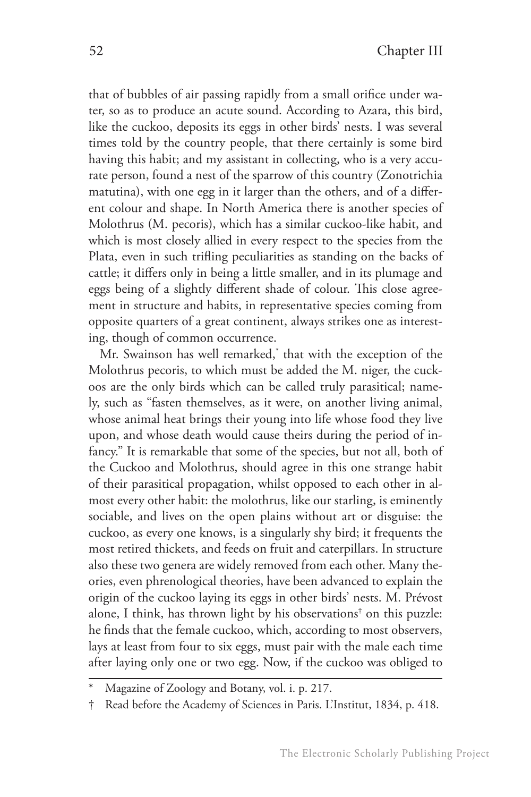that of bubbles of air passing rapidly from a small orifice under water, so as to produce an acute sound. According to Azara, this bird, like the cuckoo, deposits its eggs in other birds' nests. I was several times told by the country people, that there certainly is some bird having this habit; and my assistant in collecting, who is a very accurate person, found a nest of the sparrow of this country (Zonotrichia matutina), with one egg in it larger than the others, and of a different colour and shape. In North America there is another species of Molothrus (M. pecoris), which has a similar cuckoo-like habit, and which is most closely allied in every respect to the species from the Plata, even in such trifling peculiarities as standing on the backs of cattle; it differs only in being a little smaller, and in its plumage and eggs being of a slightly different shade of colour. This close agreement in structure and habits, in representative species coming from opposite quarters of a great continent, always strikes one as interesting, though of common occurrence.

Mr. Swainson has well remarked,\* that with the exception of the Molothrus pecoris, to which must be added the M. niger, the cuckoos are the only birds which can be called truly parasitical; namely, such as "fasten themselves, as it were, on another living animal, whose animal heat brings their young into life whose food they live upon, and whose death would cause theirs during the period of infancy." It is remarkable that some of the species, but not all, both of the Cuckoo and Molothrus, should agree in this one strange habit of their parasitical propagation, whilst opposed to each other in almost every other habit: the molothrus, like our starling, is eminently sociable, and lives on the open plains without art or disguise: the cuckoo, as every one knows, is a singularly shy bird; it frequents the most retired thickets, and feeds on fruit and caterpillars. In structure also these two genera are widely removed from each other. Many theories, even phrenological theories, have been advanced to explain the origin of the cuckoo laying its eggs in other birds' nests. M. Prévost alone, I think, has thrown light by his observations† on this puzzle: he finds that the female cuckoo, which, according to most observers, lays at least from four to six eggs, must pair with the male each time after laying only one or two egg. Now, if the cuckoo was obliged to

Magazine of Zoology and Botany, vol. i. p. 217.

<sup>†</sup> Read before the Academy of Sciences in Paris. L'Institut, 1834, p. 418.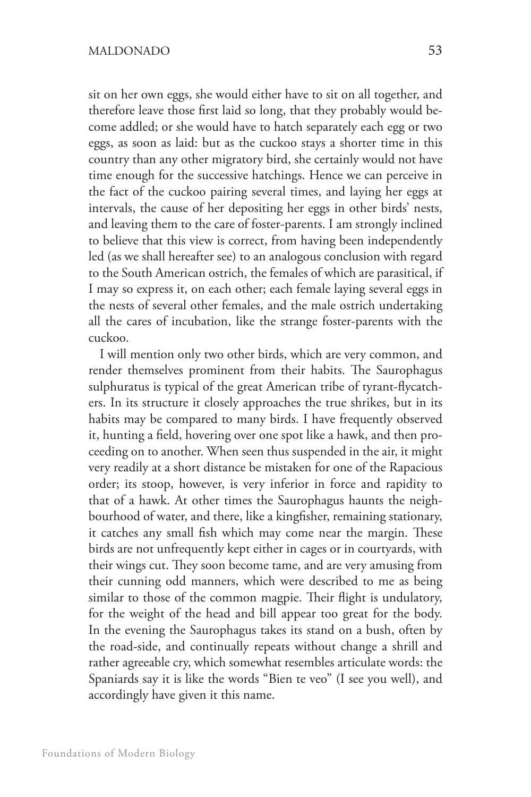sit on her own eggs, she would either have to sit on all together, and therefore leave those first laid so long, that they probably would become addled; or she would have to hatch separately each egg or two eggs, as soon as laid: but as the cuckoo stays a shorter time in this country than any other migratory bird, she certainly would not have time enough for the successive hatchings. Hence we can perceive in the fact of the cuckoo pairing several times, and laying her eggs at intervals, the cause of her depositing her eggs in other birds' nests, and leaving them to the care of foster-parents. I am strongly inclined to believe that this view is correct, from having been independently led (as we shall hereafter see) to an analogous conclusion with regard to the South American ostrich, the females of which are parasitical, if I may so express it, on each other; each female laying several eggs in the nests of several other females, and the male ostrich undertaking all the cares of incubation, like the strange foster-parents with the cuckoo.

I will mention only two other birds, which are very common, and render themselves prominent from their habits. The Saurophagus sulphuratus is typical of the great American tribe of tyrant-flycatchers. In its structure it closely approaches the true shrikes, but in its habits may be compared to many birds. I have frequently observed it, hunting a field, hovering over one spot like a hawk, and then proceeding on to another. When seen thus suspended in the air, it might very readily at a short distance be mistaken for one of the Rapacious order; its stoop, however, is very inferior in force and rapidity to that of a hawk. At other times the Saurophagus haunts the neighbourhood of water, and there, like a kingfisher, remaining stationary, it catches any small fish which may come near the margin. These birds are not unfrequently kept either in cages or in courtyards, with their wings cut. They soon become tame, and are very amusing from their cunning odd manners, which were described to me as being similar to those of the common magpie. Their flight is undulatory, for the weight of the head and bill appear too great for the body. In the evening the Saurophagus takes its stand on a bush, often by the road-side, and continually repeats without change a shrill and rather agreeable cry, which somewhat resembles articulate words: the Spaniards say it is like the words "Bien te veo" (I see you well), and accordingly have given it this name.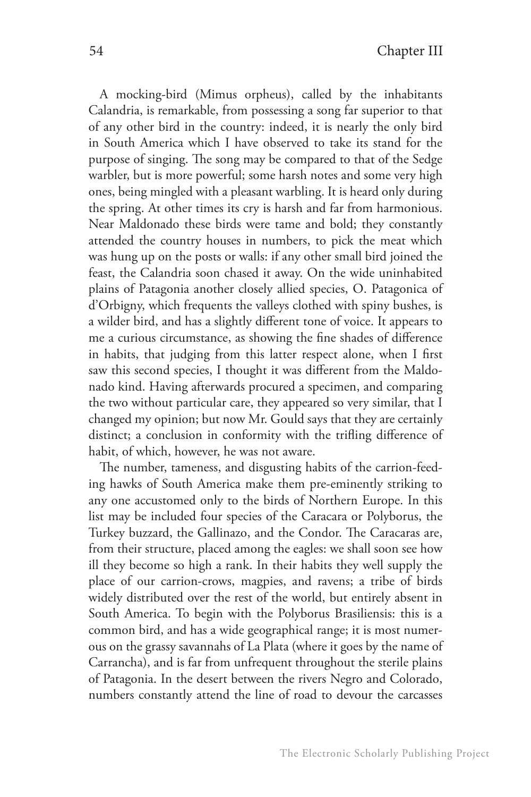A mocking-bird (Mimus orpheus), called by the inhabitants Calandria, is remarkable, from possessing a song far superior to that of any other bird in the country: indeed, it is nearly the only bird in South America which I have observed to take its stand for the purpose of singing. The song may be compared to that of the Sedge warbler, but is more powerful; some harsh notes and some very high ones, being mingled with a pleasant warbling. It is heard only during the spring. At other times its cry is harsh and far from harmonious. Near Maldonado these birds were tame and bold; they constantly attended the country houses in numbers, to pick the meat which was hung up on the posts or walls: if any other small bird joined the feast, the Calandria soon chased it away. On the wide uninhabited plains of Patagonia another closely allied species, O. Patagonica of d'Orbigny, which frequents the valleys clothed with spiny bushes, is a wilder bird, and has a slightly different tone of voice. It appears to me a curious circumstance, as showing the fine shades of difference in habits, that judging from this latter respect alone, when I first saw this second species, I thought it was different from the Maldonado kind. Having afterwards procured a specimen, and comparing the two without particular care, they appeared so very similar, that I changed my opinion; but now Mr. Gould says that they are certainly distinct; a conclusion in conformity with the trifling difference of habit, of which, however, he was not aware.

The number, tameness, and disgusting habits of the carrion-feeding hawks of South America make them pre-eminently striking to any one accustomed only to the birds of Northern Europe. In this list may be included four species of the Caracara or Polyborus, the Turkey buzzard, the Gallinazo, and the Condor. The Caracaras are, from their structure, placed among the eagles: we shall soon see how ill they become so high a rank. In their habits they well supply the place of our carrion-crows, magpies, and ravens; a tribe of birds widely distributed over the rest of the world, but entirely absent in South America. To begin with the Polyborus Brasiliensis: this is a common bird, and has a wide geographical range; it is most numerous on the grassy savannahs of La Plata (where it goes by the name of Carrancha), and is far from unfrequent throughout the sterile plains of Patagonia. In the desert between the rivers Negro and Colorado, numbers constantly attend the line of road to devour the carcasses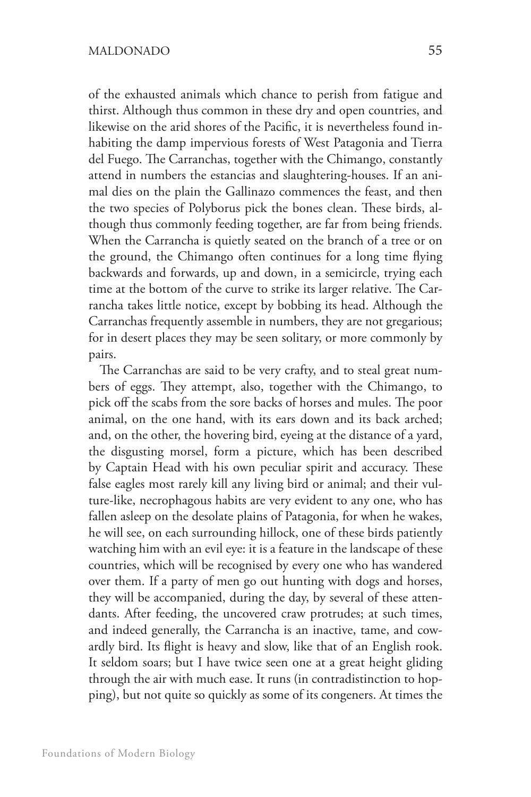of the exhausted animals which chance to perish from fatigue and thirst. Although thus common in these dry and open countries, and likewise on the arid shores of the Pacific, it is nevertheless found inhabiting the damp impervious forests of West Patagonia and Tierra del Fuego. The Carranchas, together with the Chimango, constantly attend in numbers the estancias and slaughtering-houses. If an animal dies on the plain the Gallinazo commences the feast, and then the two species of Polyborus pick the bones clean. These birds, although thus commonly feeding together, are far from being friends. When the Carrancha is quietly seated on the branch of a tree or on the ground, the Chimango often continues for a long time flying backwards and forwards, up and down, in a semicircle, trying each time at the bottom of the curve to strike its larger relative. The Carrancha takes little notice, except by bobbing its head. Although the Carranchas frequently assemble in numbers, they are not gregarious; for in desert places they may be seen solitary, or more commonly by pairs.

The Carranchas are said to be very crafty, and to steal great numbers of eggs. They attempt, also, together with the Chimango, to pick off the scabs from the sore backs of horses and mules. The poor animal, on the one hand, with its ears down and its back arched; and, on the other, the hovering bird, eyeing at the distance of a yard, the disgusting morsel, form a picture, which has been described by Captain Head with his own peculiar spirit and accuracy. These false eagles most rarely kill any living bird or animal; and their vulture-like, necrophagous habits are very evident to any one, who has fallen asleep on the desolate plains of Patagonia, for when he wakes, he will see, on each surrounding hillock, one of these birds patiently watching him with an evil eye: it is a feature in the landscape of these countries, which will be recognised by every one who has wandered over them. If a party of men go out hunting with dogs and horses, they will be accompanied, during the day, by several of these attendants. After feeding, the uncovered craw protrudes; at such times, and indeed generally, the Carrancha is an inactive, tame, and cowardly bird. Its flight is heavy and slow, like that of an English rook. It seldom soars; but I have twice seen one at a great height gliding through the air with much ease. It runs (in contradistinction to hopping), but not quite so quickly as some of its congeners. At times the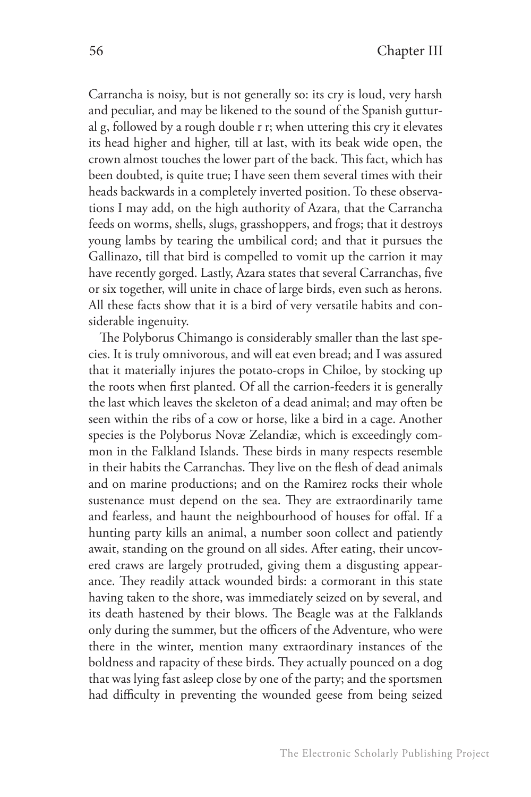Carrancha is noisy, but is not generally so: its cry is loud, very harsh and peculiar, and may be likened to the sound of the Spanish guttural g, followed by a rough double r r; when uttering this cry it elevates its head higher and higher, till at last, with its beak wide open, the crown almost touches the lower part of the back. This fact, which has been doubted, is quite true; I have seen them several times with their heads backwards in a completely inverted position. To these observations I may add, on the high authority of Azara, that the Carrancha feeds on worms, shells, slugs, grasshoppers, and frogs; that it destroys young lambs by tearing the umbilical cord; and that it pursues the Gallinazo, till that bird is compelled to vomit up the carrion it may have recently gorged. Lastly, Azara states that several Carranchas, five or six together, will unite in chace of large birds, even such as herons. All these facts show that it is a bird of very versatile habits and considerable ingenuity.

The Polyborus Chimango is considerably smaller than the last species. It is truly omnivorous, and will eat even bread; and I was assured that it materially injures the potato-crops in Chiloe, by stocking up the roots when first planted. Of all the carrion-feeders it is generally the last which leaves the skeleton of a dead animal; and may often be seen within the ribs of a cow or horse, like a bird in a cage. Another species is the Polyborus Novæ Zelandiæ, which is exceedingly common in the Falkland Islands. These birds in many respects resemble in their habits the Carranchas. They live on the flesh of dead animals and on marine productions; and on the Ramirez rocks their whole sustenance must depend on the sea. They are extraordinarily tame and fearless, and haunt the neighbourhood of houses for offal. If a hunting party kills an animal, a number soon collect and patiently await, standing on the ground on all sides. After eating, their uncovered craws are largely protruded, giving them a disgusting appearance. They readily attack wounded birds: a cormorant in this state having taken to the shore, was immediately seized on by several, and its death hastened by their blows. The Beagle was at the Falklands only during the summer, but the officers of the Adventure, who were there in the winter, mention many extraordinary instances of the boldness and rapacity of these birds. They actually pounced on a dog that was lying fast asleep close by one of the party; and the sportsmen had difficulty in preventing the wounded geese from being seized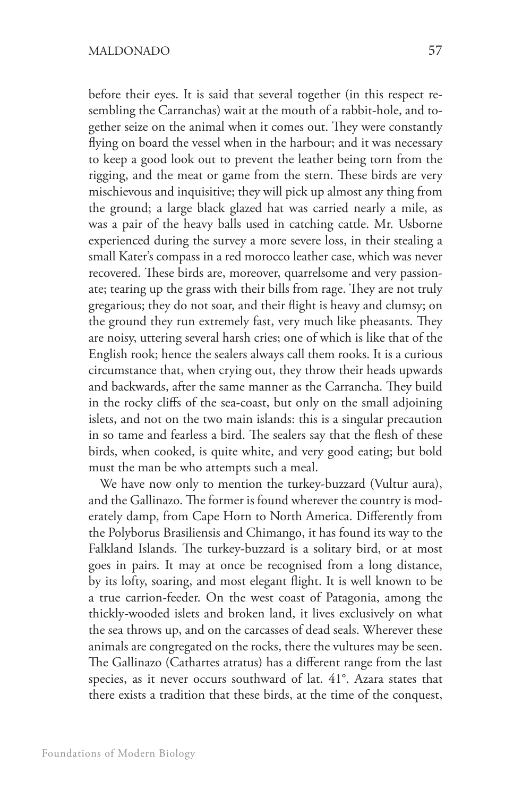before their eyes. It is said that several together (in this respect resembling the Carranchas) wait at the mouth of a rabbit-hole, and together seize on the animal when it comes out. They were constantly flying on board the vessel when in the harbour; and it was necessary to keep a good look out to prevent the leather being torn from the rigging, and the meat or game from the stern. These birds are very mischievous and inquisitive; they will pick up almost any thing from the ground; a large black glazed hat was carried nearly a mile, as was a pair of the heavy balls used in catching cattle. Mr. Usborne experienced during the survey a more severe loss, in their stealing a small Kater's compass in a red morocco leather case, which was never recovered. These birds are, moreover, quarrelsome and very passionate; tearing up the grass with their bills from rage. They are not truly gregarious; they do not soar, and their flight is heavy and clumsy; on the ground they run extremely fast, very much like pheasants. They are noisy, uttering several harsh cries; one of which is like that of the English rook; hence the sealers always call them rooks. It is a curious circumstance that, when crying out, they throw their heads upwards and backwards, after the same manner as the Carrancha. They build in the rocky cliffs of the sea-coast, but only on the small adjoining islets, and not on the two main islands: this is a singular precaution in so tame and fearless a bird. The sealers say that the flesh of these birds, when cooked, is quite white, and very good eating; but bold must the man be who attempts such a meal.

We have now only to mention the turkey-buzzard (Vultur aura), and the Gallinazo. The former is found wherever the country is moderately damp, from Cape Horn to North America. Differently from the Polyborus Brasiliensis and Chimango, it has found its way to the Falkland Islands. The turkey-buzzard is a solitary bird, or at most goes in pairs. It may at once be recognised from a long distance, by its lofty, soaring, and most elegant flight. It is well known to be a true carrion-feeder. On the west coast of Patagonia, among the thickly-wooded islets and broken land, it lives exclusively on what the sea throws up, and on the carcasses of dead seals. Wherever these animals are congregated on the rocks, there the vultures may be seen. The Gallinazo (Cathartes atratus) has a different range from the last species, as it never occurs southward of lat. 41°. Azara states that there exists a tradition that these birds, at the time of the conquest,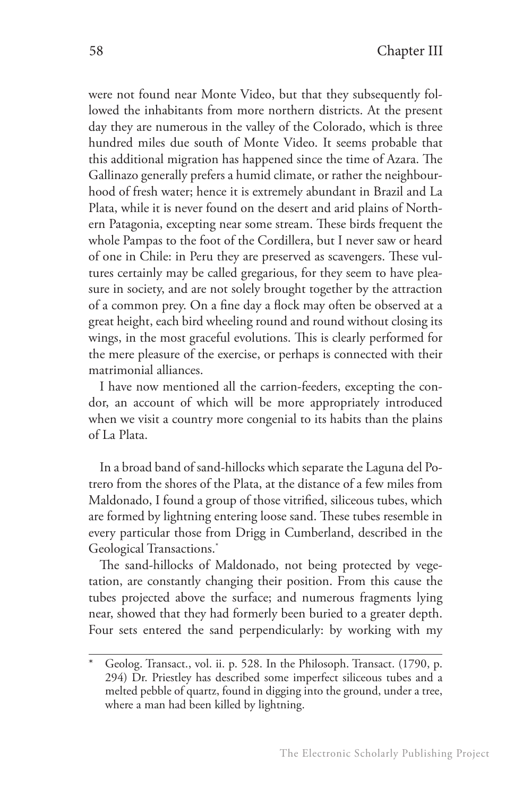were not found near Monte Video, but that they subsequently followed the inhabitants from more northern districts. At the present day they are numerous in the valley of the Colorado, which is three hundred miles due south of Monte Video. It seems probable that this additional migration has happened since the time of Azara. The Gallinazo generally prefers a humid climate, or rather the neighbourhood of fresh water; hence it is extremely abundant in Brazil and La Plata, while it is never found on the desert and arid plains of Northern Patagonia, excepting near some stream. These birds frequent the whole Pampas to the foot of the Cordillera, but I never saw or heard of one in Chile: in Peru they are preserved as scavengers. These vultures certainly may be called gregarious, for they seem to have pleasure in society, and are not solely brought together by the attraction of a common prey. On a fine day a flock may often be observed at a great height, each bird wheeling round and round without closing its wings, in the most graceful evolutions. This is clearly performed for the mere pleasure of the exercise, or perhaps is connected with their matrimonial alliances.

I have now mentioned all the carrion-feeders, excepting the condor, an account of which will be more appropriately introduced when we visit a country more congenial to its habits than the plains of La Plata.

In a broad band of sand-hillocks which separate the Laguna del Potrero from the shores of the Plata, at the distance of a few miles from Maldonado, I found a group of those vitrified, siliceous tubes, which are formed by lightning entering loose sand. These tubes resemble in every particular those from Drigg in Cumberland, described in the Geological Transactions.<sup>\*</sup>

The sand-hillocks of Maldonado, not being protected by vegetation, are constantly changing their position. From this cause the tubes projected above the surface; and numerous fragments lying near, showed that they had formerly been buried to a greater depth. Four sets entered the sand perpendicularly: by working with my

Geolog. Transact., vol. ii. p. 528. In the Philosoph. Transact. (1790, p. 294) Dr. Priestley has described some imperfect siliceous tubes and a melted pebble of quartz, found in digging into the ground, under a tree, where a man had been killed by lightning.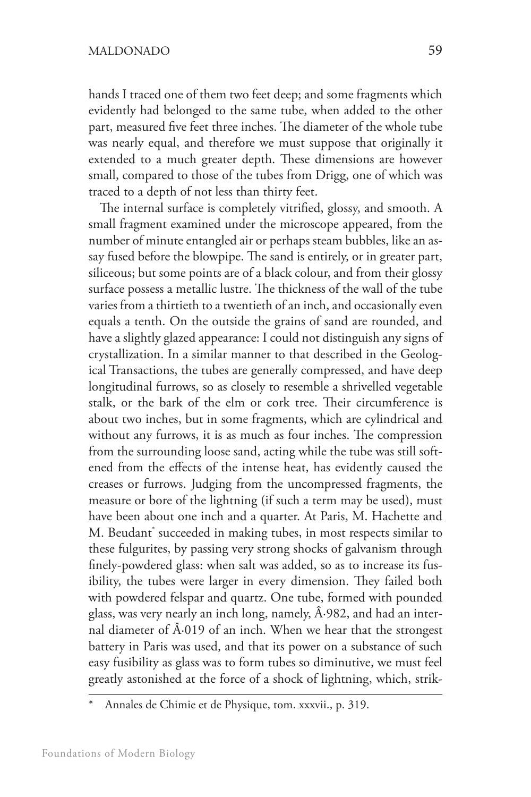hands I traced one of them two feet deep; and some fragments which evidently had belonged to the same tube, when added to the other part, measured five feet three inches. The diameter of the whole tube was nearly equal, and therefore we must suppose that originally it extended to a much greater depth. These dimensions are however small, compared to those of the tubes from Drigg, one of which was traced to a depth of not less than thirty feet.

The internal surface is completely vitrified, glossy, and smooth. A small fragment examined under the microscope appeared, from the number of minute entangled air or perhaps steam bubbles, like an assay fused before the blowpipe. The sand is entirely, or in greater part, siliceous; but some points are of a black colour, and from their glossy surface possess a metallic lustre. The thickness of the wall of the tube varies from a thirtieth to a twentieth of an inch, and occasionally even equals a tenth. On the outside the grains of sand are rounded, and have a slightly glazed appearance: I could not distinguish any signs of crystallization. In a similar manner to that described in the Geological Transactions, the tubes are generally compressed, and have deep longitudinal furrows, so as closely to resemble a shrivelled vegetable stalk, or the bark of the elm or cork tree. Their circumference is about two inches, but in some fragments, which are cylindrical and without any furrows, it is as much as four inches. The compression from the surrounding loose sand, acting while the tube was still softened from the effects of the intense heat, has evidently caused the creases or furrows. Judging from the uncompressed fragments, the measure or bore of the lightning (if such a term may be used), must have been about one inch and a quarter. At Paris, M. Hachette and M. Beudant\* succeeded in making tubes, in most respects similar to these fulgurites, by passing very strong shocks of galvanism through finely-powdered glass: when salt was added, so as to increase its fusibility, the tubes were larger in every dimension. They failed both with powdered felspar and quartz. One tube, formed with pounded glass, was very nearly an inch long, namely,  $\hat{A}$ -982, and had an internal diameter of  $\hat{A}$ -019 of an inch. When we hear that the strongest battery in Paris was used, and that its power on a substance of such easy fusibility as glass was to form tubes so diminutive, we must feel greatly astonished at the force of a shock of lightning, which, strik-

Annales de Chimie et de Physique, tom. xxxvii., p. 319.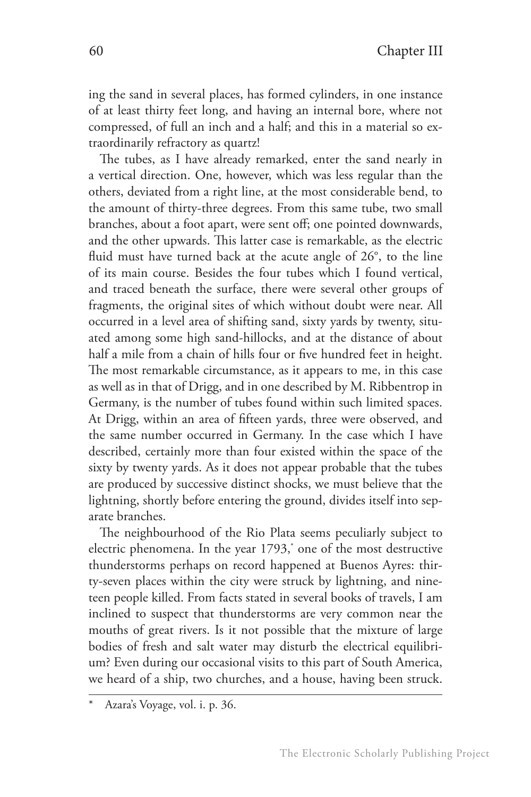ing the sand in several places, has formed cylinders, in one instance of at least thirty feet long, and having an internal bore, where not compressed, of full an inch and a half; and this in a material so extraordinarily refractory as quartz!

The tubes, as I have already remarked, enter the sand nearly in a vertical direction. One, however, which was less regular than the others, deviated from a right line, at the most considerable bend, to the amount of thirty-three degrees. From this same tube, two small branches, about a foot apart, were sent off; one pointed downwards, and the other upwards. This latter case is remarkable, as the electric fluid must have turned back at the acute angle of 26°, to the line of its main course. Besides the four tubes which I found vertical, and traced beneath the surface, there were several other groups of fragments, the original sites of which without doubt were near. All occurred in a level area of shifting sand, sixty yards by twenty, situated among some high sand-hillocks, and at the distance of about half a mile from a chain of hills four or five hundred feet in height. The most remarkable circumstance, as it appears to me, in this case as well as in that of Drigg, and in one described by M. Ribbentrop in Germany, is the number of tubes found within such limited spaces. At Drigg, within an area of fifteen yards, three were observed, and the same number occurred in Germany. In the case which I have described, certainly more than four existed within the space of the sixty by twenty yards. As it does not appear probable that the tubes are produced by successive distinct shocks, we must believe that the lightning, shortly before entering the ground, divides itself into separate branches.

The neighbourhood of the Rio Plata seems peculiarly subject to electric phenomena. In the year 1793,\* one of the most destructive thunderstorms perhaps on record happened at Buenos Ayres: thirty-seven places within the city were struck by lightning, and nineteen people killed. From facts stated in several books of travels, I am inclined to suspect that thunderstorms are very common near the mouths of great rivers. Is it not possible that the mixture of large bodies of fresh and salt water may disturb the electrical equilibrium? Even during our occasional visits to this part of South America, we heard of a ship, two churches, and a house, having been struck.

Azara's Voyage, vol. i. p. 36.